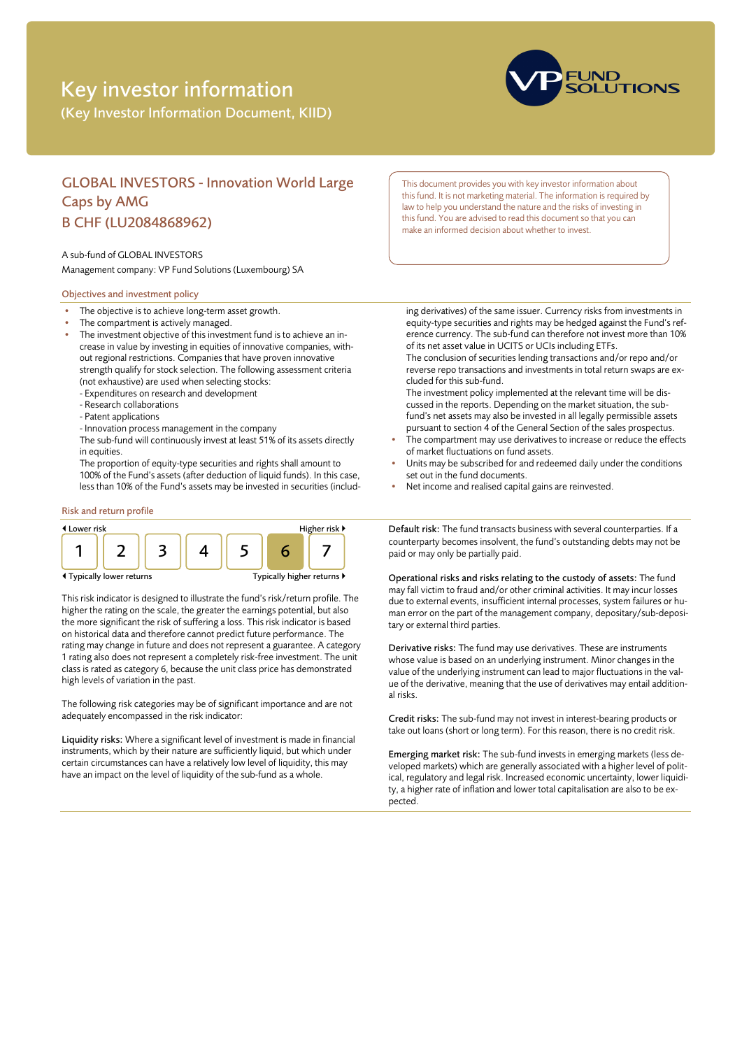# Key investor information

(Key Investor Information Document, KIID)



# GLOBAL INVESTORS - Innovation World Large Caps by AMG B CHF (LU2084868962)

### A sub-fund of GLOBAL INVESTORS

Management company: VP Fund Solutions (Luxembourg) SA

# Objectives and investment policy

- The objective is to achieve long-term asset growth.
- The compartment is actively managed.
- The investment objective of this investment fund is to achieve an increase in value by investing in equities of innovative companies, without regional restrictions. Companies that have proven innovative strength qualify for stock selection. The following assessment criteria (not exhaustive) are used when selecting stocks:
	- Expenditures on research and development
	- Research collaborations
	- Patent applications
	- Innovation process management in the company
	- The sub-fund will continuously invest at least 51% of its assets directly in equities.

The proportion of equity-type securities and rights shall amount to 100% of the Fund's assets (after deduction of liquid funds). In this case, less than 10% of the Fund's assets may be invested in securities (includ-

# Risk and return profile



This risk indicator is designed to illustrate the fund's risk/return profile. The higher the rating on the scale, the greater the earnings potential, but also the more significant the risk of suffering a loss. This risk indicator is based on historical data and therefore cannot predict future performance. The rating may change in future and does not represent a guarantee. A category 1 rating also does not represent a completely risk-free investment. The unit class is rated as category 6, because the unit class price has demonstrated high levels of variation in the past.

The following risk categories may be of significant importance and are not adequately encompassed in the risk indicator:

Liquidity risks: Where a significant level of investment is made in financial instruments, which by their nature are sufficiently liquid, but which under certain circumstances can have a relatively low level of liquidity, this may have an impact on the level of liquidity of the sub-fund as a whole.

This document provides you with key investor information about this fund. It is not marketing material. The information is required by law to help you understand the nature and the risks of investing in this fund. You are advised to read this document so that you can make an informed decision about whether to invest.

ing derivatives) of the same issuer. Currency risks from investments in equity-type securities and rights may be hedged against the Fund's reference currency. The sub-fund can therefore not invest more than 10% of its net asset value in UCITS or UCIs including ETFs. The conclusion of securities lending transactions and/or repo and/or

reverse repo transactions and investments in total return swaps are excluded for this sub-fund.

The investment policy implemented at the relevant time will be discussed in the reports. Depending on the market situation, the subfund's net assets may also be invested in all legally permissible assets pursuant to section 4 of the General Section of the sales prospectus.

- The compartment may use derivatives to increase or reduce the effects of market fluctuations on fund assets.
- Units may be subscribed for and redeemed daily under the conditions set out in the fund documents.
- Net income and realised capital gains are reinvested.

Default risk: The fund transacts business with several counterparties. If a counterparty becomes insolvent, the fund's outstanding debts may not be paid or may only be partially paid.

Operational risks and risks relating to the custody of assets: The fund may fall victim to fraud and/or other criminal activities. It may incur losses due to external events, insufficient internal processes, system failures or human error on the part of the management company, depositary/sub-depositary or external third parties.

Derivative risks: The fund may use derivatives. These are instruments whose value is based on an underlying instrument. Minor changes in the value of the underlying instrument can lead to major fluctuations in the value of the derivative, meaning that the use of derivatives may entail additional risks.

Credit risks: The sub-fund may not invest in interest-bearing products or take out loans (short or long term). For this reason, there is no credit risk.

Emerging market risk: The sub-fund invests in emerging markets (less developed markets) which are generally associated with a higher level of political, regulatory and legal risk. Increased economic uncertainty, lower liquidity, a higher rate of inflation and lower total capitalisation are also to be expected.